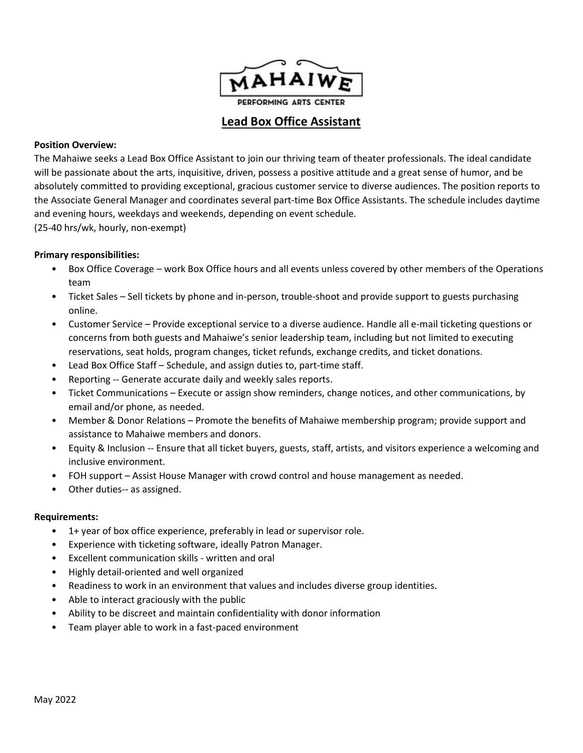

# Lead Box Office Assistant

#### Position Overview:

The Mahaiwe seeks a Lead Box Office Assistant to join our thriving team of theater professionals. The ideal candidate will be passionate about the arts, inquisitive, driven, possess a positive attitude and a great sense of humor, and be absolutely committed to providing exceptional, gracious customer service to diverse audiences. The position reports to the Associate General Manager and coordinates several part-time Box Office Assistants. The schedule includes daytime and evening hours, weekdays and weekends, depending on event schedule.

(25-40 hrs/wk, hourly, non-exempt)

### Primary responsibilities:

- Box Office Coverage work Box Office hours and all events unless covered by other members of the Operations team
- Ticket Sales Sell tickets by phone and in-person, trouble-shoot and provide support to guests purchasing online.
- Customer Service Provide exceptional service to a diverse audience. Handle all e-mail ticketing questions or concerns from both guests and Mahaiwe's senior leadership team, including but not limited to executing reservations, seat holds, program changes, ticket refunds, exchange credits, and ticket donations.
- Lead Box Office Staff Schedule, and assign duties to, part-time staff.
- Reporting -- Generate accurate daily and weekly sales reports.
- Ticket Communications Execute or assign show reminders, change notices, and other communications, by email and/or phone, as needed.
- Member & Donor Relations Promote the benefits of Mahaiwe membership program; provide support and assistance to Mahaiwe members and donors.
- Equity & Inclusion -- Ensure that all ticket buyers, guests, staff, artists, and visitors experience a welcoming and inclusive environment.
- FOH support Assist House Manager with crowd control and house management as needed.
- Other duties-- as assigned.

#### Requirements:

- 1+ year of box office experience, preferably in lead or supervisor role.
- Experience with ticketing software, ideally Patron Manager.
- Excellent communication skills written and oral
- Highly detail-oriented and well organized
- Readiness to work in an environment that values and includes diverse group identities.
- Able to interact graciously with the public
- Ability to be discreet and maintain confidentiality with donor information
- Team player able to work in a fast-paced environment